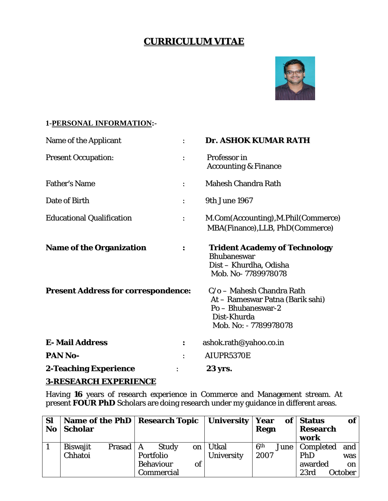# **CURRICULUM VITAE**



### **1-PERSONAL INFORMATION:-**

| Name of the Applicant                      |                | Dr. ASHOK KUMAR RATH                                                                                                        |
|--------------------------------------------|----------------|-----------------------------------------------------------------------------------------------------------------------------|
| <b>Present Occupation:</b>                 | $\ddot{\cdot}$ | Professor in<br><b>Accounting &amp; Finance</b>                                                                             |
| <b>Father's Name</b>                       |                | <b>Mahesh Chandra Rath</b>                                                                                                  |
| Date of Birth                              |                | 9th June 1967                                                                                                               |
| <b>Educational Qualification</b>           |                | M.Com(Accounting), M.Phil(Commerce)<br>MBA(Finance), LLB, PhD(Commerce)                                                     |
| <b>Name of the Organization</b>            | :              | <b>Trident Academy of Technology</b><br><b>Bhubaneswar</b><br>Dist - Khurdha, Odisha<br>Mob. No-7789978078                  |
| <b>Present Address for correspondence:</b> |                | C/o - Mahesh Chandra Rath<br>At – Rameswar Patna (Barik sahi)<br>Po - Bhubaneswar-2<br>Dist-Khurda<br>Mob. No: - 7789978078 |
| <b>E-Mail Address</b>                      | :              | ashok.rath@yahoo.co.in                                                                                                      |
| PAN No-                                    |                | AIUPR5370E                                                                                                                  |
| <b>2-Teaching Experience</b>               |                | 23 yrs.                                                                                                                     |

#### **3-RESEARCH EXPERIENCE**

Having **16** years of research experience in Commerce and Management stream. At present **FOUR PhD** Scholars are doing research under my guidance in different areas.

| <b>Sl</b> | Name of the PhD   Research Topic |        |                  |              |    | University        | Year            | of <sub>1</sub> | <b>Status</b>    | of             |
|-----------|----------------------------------|--------|------------------|--------------|----|-------------------|-----------------|-----------------|------------------|----------------|
| <b>No</b> | <b>Scholar</b>                   |        |                  |              |    |                   | <b>Regn</b>     |                 | <b>Research</b>  |                |
|           |                                  |        |                  |              |    |                   |                 |                 | work             |                |
|           | <b>Biswajit</b>                  | Prasad | А                | <b>Study</b> | on | Utkal             | 6 <sup>th</sup> | June            | <b>Completed</b> | and            |
|           | <b>Chhatoi</b>                   |        | Portfolio        |              |    | <b>University</b> | 2007            |                 | <b>PhD</b>       | was            |
|           |                                  |        | <b>Behaviour</b> |              | of |                   |                 |                 | awarded          | on             |
|           |                                  |        |                  | Commercial   |    |                   |                 |                 | 23rd             | <b>October</b> |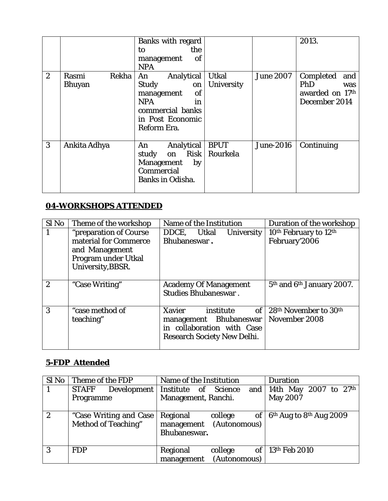|                  |                                 | Banks with regard<br>the<br>to<br><b>of</b><br>management<br><b>NPA</b>                                                               |                                   |                  | 2013.                                                              |
|------------------|---------------------------------|---------------------------------------------------------------------------------------------------------------------------------------|-----------------------------------|------------------|--------------------------------------------------------------------|
| $\boldsymbol{2}$ | Rekha<br>Rasmi<br><b>Bhuyan</b> | Analytical<br>An<br><b>Study</b><br>on<br>of<br>management<br><b>NPA</b><br>in<br>commercial banks<br>in Post Economic<br>Reform Era. | <b>Utkal</b><br><b>University</b> | <b>June 2007</b> | Completed<br>and<br>PhD<br>was<br>awarded on 17th<br>December 2014 |
| 3                | Ankita Adhya                    | Analytical<br>An<br><b>Risk</b><br>study<br>on<br><b>Management</b><br>by<br>Commercial<br><b>Banks in Odisha.</b>                    | <b>BPUT</b><br>Rourkela           | <b>June-2016</b> | Continuing                                                         |

## **04-WORKSHOPS ATTENDED**

| Sl No            | Theme of the workshop                   | Name of the Institution                                                                                                        | Duration of the workshop                                       |
|------------------|-----------------------------------------|--------------------------------------------------------------------------------------------------------------------------------|----------------------------------------------------------------|
| $\mathbf{1}$     | "preparation of Course                  | DDCE,<br>Utkal<br><b>University</b>                                                                                            | 10 <sup>th</sup> February to 12 <sup>th</sup>                  |
|                  | material for Commerce<br>and Management | Bhubaneswar.                                                                                                                   | February'2006                                                  |
|                  | Program under Utkal                     |                                                                                                                                |                                                                |
|                  | University, BBSR.                       |                                                                                                                                |                                                                |
| $\boldsymbol{2}$ | "Case Writing"                          | <b>Academy Of Management</b><br><b>Studies Bhubaneswar.</b>                                                                    | 5 <sup>th</sup> and 6 <sup>th</sup> January 2007.              |
| 3                | "case method of<br>teaching"            | <b>Xavier</b><br>of<br>institute<br>management Bhubaneswar<br>in collaboration with Case<br><b>Research Society New Delhi.</b> | 28 <sup>th</sup> November to 30 <sup>th</sup><br>November 2008 |

# **5-FDP Attended**

| Sl No            | Theme of the FDP           | Name of the Institution            | <b>Duration</b>                                 |
|------------------|----------------------------|------------------------------------|-------------------------------------------------|
|                  | <b>STAFF</b>               | Development   Institute of Science | and   14th May 2007 to $27th$                   |
|                  | Programme                  | Management, Ranchi.                | <b>May 2007</b>                                 |
|                  |                            |                                    |                                                 |
| $\boldsymbol{2}$ | "Case Writing and Case"    | Regional<br>college<br>of          | 6 <sup>th</sup> Aug to 8 <sup>th</sup> Aug 2009 |
|                  | <b>Method of Teaching"</b> | (Autonomous)<br>management         |                                                 |
|                  |                            | Bhubaneswar.                       |                                                 |
|                  |                            |                                    |                                                 |
| 3                | <b>FDP</b>                 | Regional<br>college                | of   13th Feb 2010                              |
|                  |                            | (Autonomous)<br>management         |                                                 |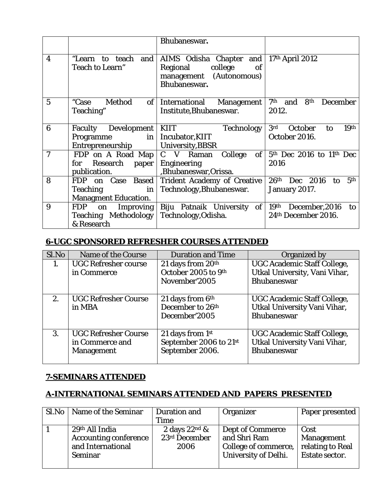|                  |                                                                                        | Bhubaneswar.                                                                                               |                                                                       |
|------------------|----------------------------------------------------------------------------------------|------------------------------------------------------------------------------------------------------------|-----------------------------------------------------------------------|
| $\boldsymbol{4}$ | "Learn to teach and<br>Teach to Learn"                                                 | AIMS Odisha Chapter and<br>college<br>Regional<br><sub>of</sub><br>management (Autonomous)<br>Bhubaneswar. | 17th April 2012                                                       |
| 5                | Method<br>"Case<br>of <sub>l</sub><br>Teaching"                                        | <b>International Management</b><br>Institute, Bhubaneswar.                                                 | 7 <sup>th</sup> and<br>8 <sup>th</sup><br><b>December</b><br>2012.    |
| 6                | Faculty Development   KIIT<br>Programme<br>Entrepreneurship                            | <b>Technology</b><br>in   Incubator, KIIT<br>University, BBSR                                              | 3 <sup>rd</sup><br>October<br>19 <sup>th</sup><br>to<br>October 2016. |
| 7                | FDP on A Road Map $ C \ V$ Raman<br>Research paper<br>for<br>publication.              | College<br>of<br><b>Engineering</b><br>,Bhubaneswar,Orissa.                                                | $5th$ Dec 2016 to 11 <sup>th</sup> Dec<br>2016                        |
| 8                | FDP on Case Based<br>in <sub>1</sub><br><b>Teaching</b><br><b>Managment Education.</b> | <b>Trident Academy of Creative</b><br>Technology, Bhubaneswar.                                             | 26 <sup>th</sup><br>5th<br>Dec 2016<br>to<br>January 2017.            |
| 9                | <b>FDP</b><br>on Improving<br><b>Teaching Methodology</b><br>& Research                | Biju Patnaik University of<br>Technology, Odisha.                                                          | 19th December, 2016<br>to<br>24th December 2016.                      |

# **6-UGC SPONSORED REFRESHER COURSES ATTENDED**

| Sl.No | <b>Name of the Course</b>                                           | <b>Duration and Time</b>                                          | Organized by                                                                              |
|-------|---------------------------------------------------------------------|-------------------------------------------------------------------|-------------------------------------------------------------------------------------------|
| 1.    | <b>UGC Refresher course</b><br>in Commerce                          | 21 days from 20th<br>October 2005 to 9th<br>November'2005         | <b>UGC Academic Staff College,</b><br>Utkal University, Vani Vihar,<br><b>Bhubaneswar</b> |
| 2.    | <b>UGC Refresher Course</b><br>in MBA                               | 21 days from 6th<br>December to 26 <sup>th</sup><br>December'2005 | <b>UGC Academic Staff College,</b><br>Utkal University Vani Vihar,<br><b>Bhubaneswar</b>  |
| 3.    | <b>UGC Refresher Course</b><br>in Commerce and<br><b>Management</b> | 21 days from 1st<br>September 2006 to 21st<br>September 2006.     | <b>UGC Academic Staff College,</b><br>Utkal University Vani Vihar,<br><b>Bhubaneswar</b>  |

### **7-SEMINARS ATTENDED**

### **A-INTERNATIONAL SEMINARS ATTENDED AND PAPERS PRESENTED**

| Sl.No   Name of the Seminar  | Duration and    | <b>Organizer</b>            | Paper presented   |
|------------------------------|-----------------|-----------------------------|-------------------|
|                              | <b>Time</b>     |                             |                   |
| 29th All India               | 2 days $22nd$ & | Dept of Commerce            | Cost              |
| <b>Accounting conference</b> | 23rd December   | and Shri Ram                | <b>Management</b> |
| and International            | 2006            | College of commerce,        | relating to Real  |
| <b>Seminar</b>               |                 | <b>University of Delhi.</b> | Estate sector.    |
|                              |                 |                             |                   |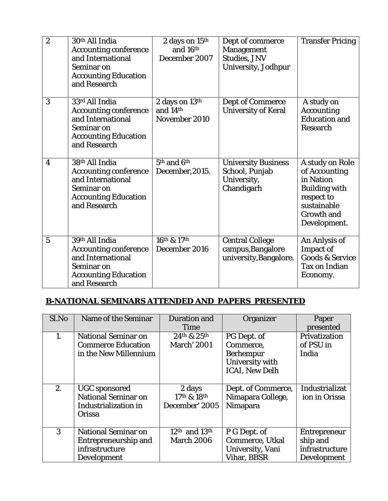| $\boldsymbol{2}$ | 30th All India<br><b>Accounting conference</b><br>and International<br>Seminar on<br><b>Accounting Education</b><br>and Research | 2 days on 15th<br>and 16th<br>December 2007          | Dept of commerce<br><b>Management</b><br><b>Studies, JNV</b><br><b>University, Jodhpur</b> | <b>Transfer Pricing</b>                                                                                                                 |
|------------------|----------------------------------------------------------------------------------------------------------------------------------|------------------------------------------------------|--------------------------------------------------------------------------------------------|-----------------------------------------------------------------------------------------------------------------------------------------|
| 3                | 33rd All India<br><b>Accounting conference</b><br>and International<br>Seminar on<br><b>Accounting Education</b><br>and Research | 2 days on 13th<br>and 14th<br>November 2010          | <b>Dept of Commerce</b><br><b>University of Keral</b>                                      | A study on<br><b>Accounting</b><br><b>Education and</b><br><b>Research</b>                                                              |
| 4                | 38th All India<br><b>Accounting conference</b><br>and International<br>Seminar on<br><b>Accounting Education</b><br>and Research | 5th and 6th<br>December, 2015.                       | <b>University Business</b><br>School, Punjab<br>University,<br>Chandigarh                  | A study on Role<br>of Accounting<br>in Nation<br><b>Building with</b><br>respect to<br>sustainable<br><b>Growth and</b><br>Development. |
| 5                | 39th All India<br><b>Accounting conference</b><br>and International<br>Seminar on<br><b>Accounting Education</b><br>and Research | $16^{\text{th}}$ & $17^{\text{th}}$<br>December 2016 | <b>Central College</b><br>campus, Bangalore<br>university, Bangalore.                      | An Anlysis of<br><b>Impact of</b><br><b>Goods &amp; Service</b><br><b>Tax on Indian</b><br>Economy.                                     |

# **B-NATIONAL SEMINARS ATTENDED AND PAPERS PRESENTED**

| Sl.No | Name of the Seminar                                                                         | <b>Duration and</b>                     | Organizer                                                                                | Paper                                                                   |
|-------|---------------------------------------------------------------------------------------------|-----------------------------------------|------------------------------------------------------------------------------------------|-------------------------------------------------------------------------|
|       |                                                                                             | Time                                    |                                                                                          | presented                                                               |
| 1.    | <b>National Seminar on</b><br><b>Commerce Education</b><br>in the New Millennium            | 24th & 25th<br><b>March' 2001</b>       | PG Dept. of<br>Commerce.<br><b>Berhempur</b><br>University with<br><b>ICAI, New Delh</b> | <b>Privatization</b><br>of PSU in<br>India                              |
| 2.    | <b>UGC</b> sponsored<br><b>National Seminar on</b><br><b>Industrialization in</b><br>Orissa | 2 days<br>17th & 18th<br>December' 2005 | Dept. of Commerce,<br>Nimapara College,<br>Nimapara                                      | <b>Industrializat</b><br>ion in Orissa                                  |
| 3     | <b>National Seminar on</b><br><b>Entrepreneurship and</b><br>infrastructure<br>Development  | $12th$ and $13th$<br><b>March 2006</b>  | P G Dept. of<br><b>Commerce, Utkal</b><br>University, Vani<br><b>Vihar, BBSR</b>         | <b>Entrepreneur</b><br>ship and<br>infrastructure<br><b>Development</b> |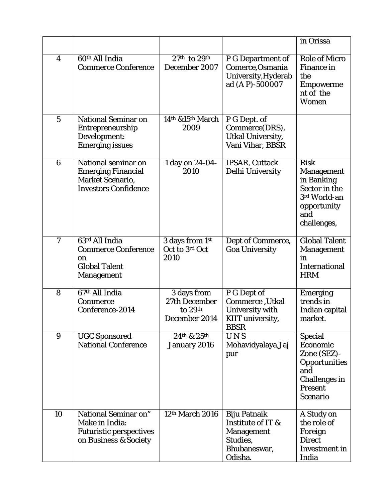|                  |                                                                                                            |                                                          |                                                                                                      | in Orissa                                                                                                                             |
|------------------|------------------------------------------------------------------------------------------------------------|----------------------------------------------------------|------------------------------------------------------------------------------------------------------|---------------------------------------------------------------------------------------------------------------------------------------|
| 4                | 60 <sup>th</sup> All India<br><b>Commerce Conference</b>                                                   | $27th$ to $29th$<br>December 2007                        | <b>P G Department of</b><br>Comerce, Osmania<br>University, Hyderab<br>ad (AP)-500007                | <b>Role of Micro</b><br><b>Finance in</b><br>the<br>Empowerme<br>nt of the<br><b>Women</b>                                            |
| $\sqrt{5}$       | <b>National Seminar on</b><br><b>Entrepreneurship</b><br>Development:<br><b>Emerging issues</b>            | 14th &15th March<br>2009                                 | P G Dept. of<br>Commerce(DRS),<br><b>Utkal University,</b><br>Vani Vihar, BBSR                       |                                                                                                                                       |
| $6\phantom{1}6$  | National seminar on<br><b>Emerging Financial</b><br><b>Market Scenario,</b><br><b>Investors Confidence</b> | 1 day on 24-04-<br>2010                                  | <b>IPSAR, Cuttack</b><br>Delhi University                                                            | <b>Risk</b><br><b>Management</b><br>in Banking<br>Sector in the<br>3rd World-an<br>opportunity<br>and<br>challenges,                  |
| $\boldsymbol{7}$ | 63rd All India<br><b>Commerce Conference</b><br>on<br><b>Global Talent</b><br><b>Management</b>            | 3 days from 1st<br>Oct to 3rd Oct<br>2010                | Dept of Commerce,<br><b>Goa University</b>                                                           | <b>Global Talent</b><br><b>Management</b><br>in<br><b>International</b><br><b>HRM</b>                                                 |
| 8                | 67th All India<br><b>Commerce</b><br>Conference-2014                                                       | 3 days from<br>27th December<br>to 29th<br>December 2014 | P G Dept of<br>Commerce, Utkal<br>University with<br><b>KIIT</b> university,<br><b>BBSR</b>          | <b>Emerging</b><br>trends in<br>Indian capital<br>market.                                                                             |
| 9                | <b>UGC Sponsored</b><br><b>National Conference</b>                                                         | 24th & 25th<br>January 2016                              | UNS<br>Mohavidyalaya, Jaj<br>pur                                                                     | <b>Special</b><br>Economic<br>Zone (SEZ)-<br><b>Opportunities</b><br>and<br><b>Challenges in</b><br><b>Present</b><br><b>Scenario</b> |
| 10               | National Seminar on"<br>Make in India:<br><b>Futuristic perspectives</b><br>on Business & Society          | 12th March 2016                                          | <b>Biju Patnaik</b><br>Institute of IT &<br><b>Management</b><br>Studies,<br>Bhubaneswar,<br>Odisha. | A Study on<br>the role of<br>Foreign<br><b>Direct</b><br><b>Investment</b> in<br>India                                                |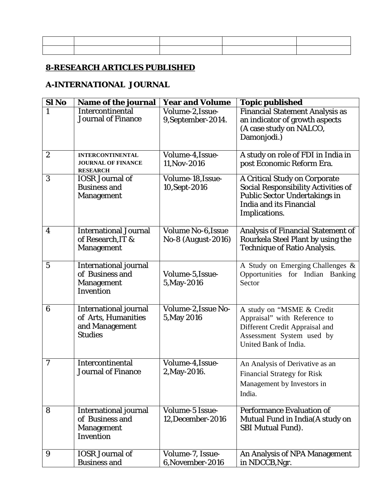| ,一个人都是一个人的人,就是一个人的人,就是一个人的人,就是一个人的人,就是一个人的人,就是一个人的人,就是一个人的人,就是一个人的人,就是一个人的人,就是一个 |  |  |
|----------------------------------------------------------------------------------|--|--|
|                                                                                  |  |  |

## **8-RESEARCH ARTICLES PUBLISHED**

## **A-INTERNATIONAL JOURNAL**

| Sl <sub>No</sub> | Name of the journal                                                                      | <b>Year and Volume</b>                          | <b>Topic published</b>                                                                                                                                                        |
|------------------|------------------------------------------------------------------------------------------|-------------------------------------------------|-------------------------------------------------------------------------------------------------------------------------------------------------------------------------------|
| 1                | Intercontinental<br><b>Journal of Finance</b>                                            | Volume-2, Issue-<br>9, September-2014.          | <b>Financial Statement Analysis as</b><br>an indicator of growth aspects<br>(A case study on NALCO,<br>Damonjodi.)                                                            |
| $\boldsymbol{2}$ | <b>INTERCONTINENTAL</b><br><b>JOURNAL OF FINANCE</b><br><b>RESEARCH</b>                  | Volume-4, Issue-<br>11, Nov-2016                | A study on role of FDI in India in<br>post Economic Reform Era.                                                                                                               |
| 3                | <b>IOSR Journal of</b><br><b>Business and</b><br><b>Management</b>                       | Volume-18, Issue-<br>10, Sept-2016              | <b>A Critical Study on Corporate</b><br><b>Social Responsibility Activities of</b><br><b>Public Sector Undertakings in</b><br><b>India and its Financial</b><br>Implications. |
| 4                | <b>International Journal</b><br>of Research, IT &<br><b>Management</b>                   | <b>Volume No-6, Issue</b><br>No-8 (August-2016) | <b>Analysis of Financial Statement of</b><br>Rourkela Steel Plant by using the<br><b>Technique of Ratio Analysis.</b>                                                         |
| $\overline{5}$   | <b>International journal</b><br>of Business and<br><b>Management</b><br>Invention        | Volume-5, Issue-<br>5, May-2016                 | A Study on Emerging Challenges &<br>Opportunities for Indian Banking<br>Sector                                                                                                |
| 6                | <b>International journal</b><br>of Arts, Humanities<br>and Management<br><b>Studies</b>  | Volume-2, Issue No-<br>5, May 2016              | A study on "MSME & Credit<br>Appraisal" with Reference to<br>Different Credit Appraisal and<br>Assessment System used by<br>United Bank of India.                             |
| 7                | <b>Intercontinental</b><br><b>Journal of Finance</b>                                     | Volume-4, Issue-<br>2, May-2016.                | An Analysis of Derivative as an<br><b>Financial Strategy for Risk</b><br>Management by Investors in<br>India.                                                                 |
| 8                | <b>International journal</b><br>of Business and<br><b>Management</b><br><b>Invention</b> | Volume-5 Issue-<br>12, December-2016            | <b>Performance Evaluation of</b><br>Mutual Fund in India(A study on<br><b>SBI Mutual Fund).</b>                                                                               |
| 9                | <b>IOSR Journal of</b><br><b>Business and</b>                                            | Volume-7, Issue-<br>6, November-2016            | An Analysis of NPA Management<br>in NDCCB, Ngr.                                                                                                                               |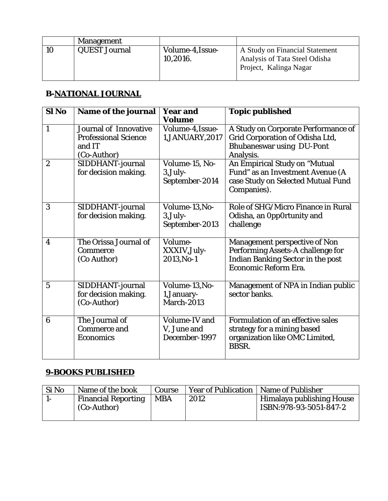|    | <b>Management</b>    |                              |                                                                                           |
|----|----------------------|------------------------------|-------------------------------------------------------------------------------------------|
| 10 | <b>QUEST Journal</b> | Volume-4, Issue-<br>10,2016. | A Study on Financial Statement<br>Analysis of Tata Steel Odisha<br>Project, Kalinga Nagar |

## **B-NATIONAL JOURNAL**

| Sl <sub>No</sub> | <b>Name of the journal</b>                                                           | <b>Year and</b><br>Volume                            | <b>Topic published</b>                                                                                                                        |
|------------------|--------------------------------------------------------------------------------------|------------------------------------------------------|-----------------------------------------------------------------------------------------------------------------------------------------------|
| $\mathbf{1}$     | <b>Journal of Innovative</b><br><b>Professional Science</b><br>and IT<br>(Co-Author) | Volume-4, Issue-<br>1, JANUARY, 2017                 | A Study on Corporate Performance of<br>Grid Corporation of Odisha Ltd,<br><b>Bhubaneswar using DU-Pont</b><br>Analysis.                       |
| $\overline{2}$   | SIDDHANT-journal<br>for decision making.                                             | Volume-15, No-<br>$3$ , July-<br>September-2014      | An Empirical Study on "Mutual<br>Fund" as an Investment Avenue (A<br>case Study on Selected Mutual Fund<br>Companies).                        |
| 3                | SIDDHANT-journal<br>for decision making.                                             | Volume-13, No-<br>$3, July-$<br>September-2013       | Role of SHG/Micro Finance in Rural<br>Odisha, an OppOrtunity and<br>challenge                                                                 |
| 4                | The Orissa Journal of<br><b>Commerce</b><br>(Co Author)                              | Volume-<br>XXXIV, July-<br>2013, No-1                | <b>Management perspective of Non</b><br>Performing Assets-A challenge for<br><b>Indian Banking Sector in the post</b><br>Economic Reform Era. |
| $5\phantom{.0}$  | SIDDHANT-journal<br>for decision making.<br>(Co-Author)                              | Volume-13, No-<br>1, January-<br>March-2013          | Management of NPA in Indian public<br>sector banks.                                                                                           |
| 6                | The Journal of<br><b>Commerce and</b><br><b>Economics</b>                            | <b>Volume-IV and</b><br>V, June and<br>December-1997 | <b>Formulation of an effective sales</b><br>strategy for a mining based<br>organization like OMC Limited,<br><b>BBSR.</b>                     |

# **9-BOOKS PUBLISHED**

| <b>Financial Reporting</b><br><b>MBA</b><br>2012 | Si No | Name of the book | Course | <b>Year of Publication   Name of Publisher</b> |                                                            |
|--------------------------------------------------|-------|------------------|--------|------------------------------------------------|------------------------------------------------------------|
|                                                  |       | (Co-Author)      |        |                                                | <b>Himalaya publishing House</b><br>ISBN:978-93-5051-847-2 |